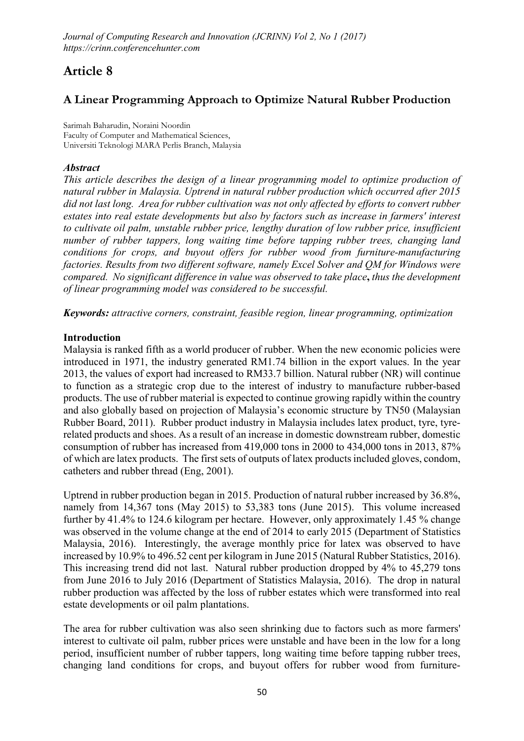# Article 8

## A Linear Programming Approach to Optimize Natural Rubber Production

**Sarimah Baharudin, Noraini Noordin Faculty of Computer and Mathematical Sciences, Universiti Teknologi MARA Perlis Branch, Malaysia**

## *Abstract*

*This article describes the design of a linear programming model to optimize production of natural rubber in Malaysia. Uptrend in natural rubber production which occurred after 2015 did not last long. Area for rubber cultivation was not only affected by efforts to convert rubber estates into real estate developments but also by factors such as increase in farmers' interest to cultivate oil palm, unstable rubber price, lengthy duration of low rubber price, insufficient number of rubber tappers, long waiting time before tapping rubber trees, changing land conditions for crops, and buyout offers for rubber wood from furniture-manufacturing factories. Results from two different software, namely Excel Solver and QM for Windows were compared. No significant difference in value was observed to take place*, *thus the development of linear programming model was considered to be successful.* 

*Keywords: attractive corners, constraint, feasible region, linear programming, optimization*

## Introduction

Malaysia is ranked fifth as a world producer of rubber. When the new economic policies were introduced in 1971, the industry generated RM1.74 billion in the export values. In the year 2013, the values of export had increased to RM33.7 billion. Natural rubber (NR) will continue to function as a strategic crop due to the interest of industry to manufacture rubber-based products. The use of rubber material is expected to continue growing rapidly within the country and also globally based on projection of Malaysia's economic structure by TN50 (Malaysian Rubber Board, 2011). Rubber product industry in Malaysia includes latex product, tyre, tyrerelated products and shoes. As a result of an increase in domestic downstream rubber, domestic consumption of rubber has increased from 419,000 tons in 2000 to 434,000 tons in 2013, 87% of which are latex products. The first sets of outputs of latex products included gloves, condom, catheters and rubber thread (Eng, 2001).

Uptrend in rubber production began in 2015. Production of natural rubber increased by 36.8%, namely from 14,367 tons (May 2015) to 53,383 tons (June 2015). This volume increased further by 41.4% to 124.6 kilogram per hectare. However, only approximately 1.45 % change was observed in the volume change at the end of 2014 to early 2015 (Department of Statistics Malaysia, 2016). Interestingly, the average monthly price for latex was observed to have increased by 10.9% to 496.52 cent per kilogram in June 2015 (Natural Rubber Statistics, 2016). This increasing trend did not last. Natural rubber production dropped by 4% to 45,279 tons from June 2016 to July 2016 (Department of Statistics Malaysia, 2016). The drop in natural rubber production was affected by the loss of rubber estates which were transformed into real estate developments or oil palm plantations.

The area for rubber cultivation was also seen shrinking due to factors such as more farmers' interest to cultivate oil palm, rubber prices were unstable and have been in the low for a long period, insufficient number of rubber tappers, long waiting time before tapping rubber trees, changing land conditions for crops, and buyout offers for rubber wood from furniture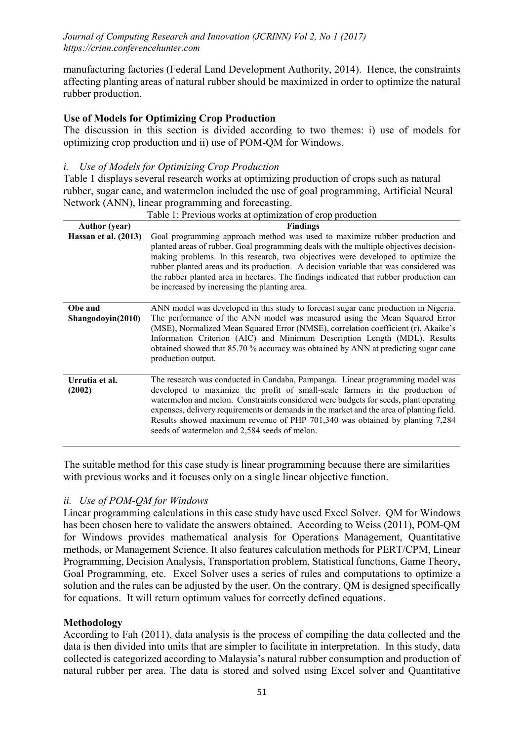manufacturing factories (Federal Land Development Authority, 2014). Hence, the constraints affecting planting areas of natural rubber should be maximized in order to optimize the natural rubber production.

## Use of Models for Optimizing Crop Production

The discussion in this section is divided according to two themes: i) use of models for optimizing crop production and ii) use of POM-QM for Windows.

#### *i. Use of Models for Optimizing Crop Production*

Table 1 displays several research works at optimizing production of crops such as natural rubber, sugar cane, and watermelon included the use of goal programming, Artificial Neural Network (ANN), linear programming and forecasting.

|                              | Table 1: Previous works at optimization of crop production                                                                                                                                                                                                                                                                                                                                                                                                                                   |  |  |
|------------------------------|----------------------------------------------------------------------------------------------------------------------------------------------------------------------------------------------------------------------------------------------------------------------------------------------------------------------------------------------------------------------------------------------------------------------------------------------------------------------------------------------|--|--|
| <b>Author</b> (year)         | <b>Findings</b>                                                                                                                                                                                                                                                                                                                                                                                                                                                                              |  |  |
| Hassan et al. (2013)         | Goal programming approach method was used to maximize rubber production and<br>planted areas of rubber. Goal programming deals with the multiple objectives decision-<br>making problems. In this research, two objectives were developed to optimize the<br>rubber planted areas and its production. A decision variable that was considered was<br>the rubber planted area in hectares. The findings indicated that rubber production can<br>be increased by increasing the planting area. |  |  |
| Obe and<br>Shangodoyin(2010) | ANN model was developed in this study to forecast sugar cane production in Nigeria.<br>The performance of the ANN model was measured using the Mean Squared Error<br>(MSE), Normalized Mean Squared Error (NMSE), correlation coefficient (r), Akaike's<br>Information Criterion (AIC) and Minimum Description Length (MDL). Results<br>obtained showed that 85.70 % accuracy was obtained by ANN at predicting sugar cane<br>production output.                                             |  |  |
| Urrutia et al.<br>(2002)     | The research was conducted in Candaba, Pampanga. Linear programming model was<br>developed to maximize the profit of small-scale farmers in the production of<br>watermelon and melon. Constraints considered were budgets for seeds, plant operating<br>expenses, delivery requirements or demands in the market and the area of planting field.<br>Results showed maximum revenue of PHP 701,340 was obtained by planting 7,284<br>seeds of watermelon and 2,584 seeds of melon.           |  |  |

The suitable method for this case study is linear programming because there are similarities with previous works and it focuses only on a single linear objective function.

## *ii. Use of POM-QM for Windows*

Linear programming calculations in this case study have used Excel Solver. QM for Windows has been chosen here to validate the answers obtained. According to Weiss (2011), POM-QM for Windows provides mathematical analysis for Operations Management, Quantitative methods, or Management Science. It also features calculation methods for PERT/CPM, Linear Programming, Decision Analysis, Transportation problem, Statistical functions, Game Theory, Goal Programming, etc. Excel Solver uses a series of rules and computations to optimize a solution and the rules can be adjusted by the user. On the contrary, QM is designed specifically for equations. It will return optimum values for correctly defined equations.

#### Methodology

According to Fah (2011), data analysis is the process of compiling the data collected and the data is then divided into units that are simpler to facilitate in interpretation. In this study, data collected is categorized according to Malaysia's natural rubber consumption and production of natural rubber per area. The data is stored and solved using Excel solver and Quantitative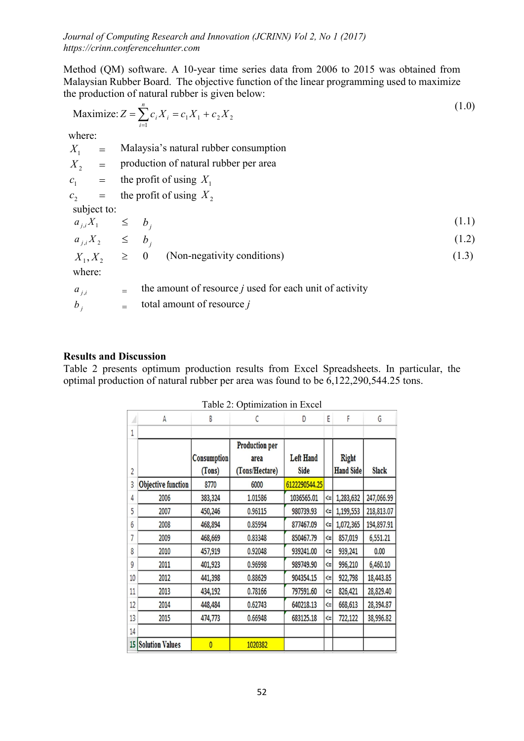Method (QM) software. A 10-year time series data from 2006 to 2015 was obtained from Malaysian Rubber Board. The objective function of the linear programming used to maximize the production of natural rubber is given below:

Maximize: 
$$
Z = \sum_{i=1}^{n} c_i X_i = c_1 X_1 + c_2 X_2
$$
 (1.0)

where:

 $X_1$  = Malaysia's natural rubber consumption  $X_2$  = production of natural rubber per area  $c_1$  = the profit of using  $X_1$  $c_2$  = the profit of using  $X_2$ subject to:  $a_{j,i}X_1 \leq b_j$  (1.1)  $a_{j,i} X_2 \leq b_j$  (1.2)  $X_1, X_2 \geq 0$  (Non-negativity conditions) (1.3) where:  $a_{i,i}$   $=$  the amount of resource *j* used for each unit of activity  $b_j$   $=$  total amount of resource *j* 

#### Results and Discussion

Table 2 presents optimum production results from Excel Spreadsheets. In particular, the optimal production of natural rubber per area was found to be 6,122,290,544.25 tons.

|                | A                         | B           | С                     | D                | E      | F                | G            |
|----------------|---------------------------|-------------|-----------------------|------------------|--------|------------------|--------------|
| 1              |                           |             |                       |                  |        |                  |              |
|                |                           |             | <b>Production per</b> |                  |        |                  |              |
|                |                           | Consumption | area                  | <b>Left Hand</b> |        | <b>Right</b>     |              |
| $\overline{c}$ |                           | (Tons)      | (Tons/Hectare)        | <b>Side</b>      |        | <b>Hand Side</b> | <b>Slack</b> |
| 3              | <b>Objective function</b> | 8770        | 6000                  | 6122290544.25    |        |                  |              |
| 4              | 2006                      | 383,324     | 1.01586               | 1036565.01       | <=     | 1,283,632        | 247,066.99   |
| 5              | 2007                      | 450,246     | 0.96115               | 980739.93        | ⇐      | 1,199,553        | 218,813.07   |
| 6              | 2008                      | 468,894     | 0.85994               | 877467.09        | <=     | 1,072,365        | 194,897.91   |
| 7              | 2009                      | 468,669     | 0.83348               | 850467.79        | ⇐      | 857,019          | 6,551.21     |
| 8              | 2010                      | 457,919     | 0.92048               | 939241.00        | ⇐      | 939,241          | 0.00         |
| 9              | 2011                      | 401,923     | 0.96998               | 989749.90        | ⇐      | 996,210          | 6,460.10     |
| 10             | 2012                      | 441,398     | 0.88629               | 904354.15        | $\leq$ | 922,798          | 18,443.85    |
| 11             | 2013                      | 434,192     | 0.78166               | 797591.60        | ⇐      | 826,421          | 28,829.40    |
| 12             | 2014                      | 448,484     | 0.62743               | 640218.13        | <=     | 668,613          | 28,394.87    |
| 13             | 2015                      | 474,773     | 0.66948               | 683125.18        | <=     | 722,122          | 38,996.82    |
| 14             |                           |             |                       |                  |        |                  |              |
| 15             | <b>Solution Values</b>    | 0           | 1020382               |                  |        |                  |              |

Table 2: Optimization in Excel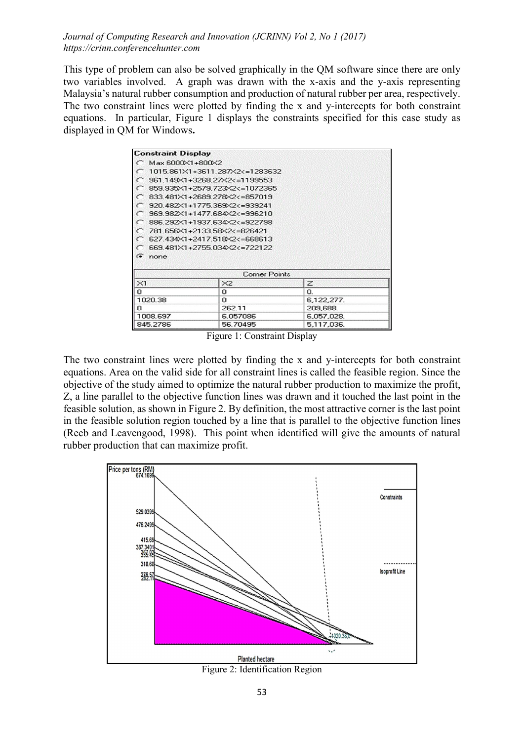This type of problem can also be solved graphically in the QM software since there are only two variables involved. A graph was drawn with the x-axis and the y-axis representing Malaysia's natural rubber consumption and production of natural rubber per area, respectively. The two constraint lines were plotted by finding the x and y-intercepts for both constraint equations. In particular, Figure 1 displays the constraints specified for this case study as displayed in QM for Windows.

| <b>Constraint Display</b>                                         |                                                                |            |  |  |  |  |                                  |
|-------------------------------------------------------------------|----------------------------------------------------------------|------------|--|--|--|--|----------------------------------|
| Max 6000X1+800X2                                                  |                                                                |            |  |  |  |  |                                  |
|                                                                   | 1015.861X1+3611.287X2<=1283632<br>961.149×1+3268.27×2<=1199553 |            |  |  |  |  |                                  |
|                                                                   |                                                                |            |  |  |  |  |                                  |
| $C$ 859 935×1+2579 723×2<=1072365<br>833 481×1+2689 278×2<=857019 |                                                                |            |  |  |  |  |                                  |
|                                                                   |                                                                |            |  |  |  |  | $C$ 920 482×1+1775 369×2<=939241 |
|                                                                   | C 969.982X1+1477.684X2<=996210                                 |            |  |  |  |  |                                  |
|                                                                   | 886 292 1+1937 634 $2 <$ =922798                               |            |  |  |  |  |                                  |
| 781.656×1+2133.58×2<=826421                                       |                                                                |            |  |  |  |  |                                  |
| 627.434×1+2417.518×2<=668613                                      |                                                                |            |  |  |  |  |                                  |
|                                                                   | 669.481X1+2755.034X2<=722122                                   |            |  |  |  |  |                                  |
| $\epsilon$ none                                                   |                                                                |            |  |  |  |  |                                  |
|                                                                   | <b>Corner Points</b>                                           |            |  |  |  |  |                                  |
| $\times1$                                                         | $\times 2$                                                     | Z          |  |  |  |  |                                  |
| 0                                                                 | 0                                                              | 0.         |  |  |  |  |                                  |
| 1020.38                                                           | 0                                                              | 6.122.277. |  |  |  |  |                                  |
| 0                                                                 | 262.11                                                         | 209,688.   |  |  |  |  |                                  |
| 1008.697                                                          | 6.057086                                                       | 6,057,028. |  |  |  |  |                                  |
| 845.2786                                                          | 56.70495                                                       | 5,117,036. |  |  |  |  |                                  |

Figure 1: Constraint Display

The two constraint lines were plotted by finding the x and y-intercepts for both constraint equations. Area on the valid side for all constraint lines is called the feasible region. Since the objective of the study aimed to optimize the natural rubber production to maximize the profit, Z, a line parallel to the objective function lines was drawn and it touched the last point in the feasible solution, as shown in Figure 2. By definition, the most attractive corner is the last point in the feasible solution region touched by a line that is parallel to the objective function lines (Reeb and Leavengood, 1998). This point when identified will give the amounts of natural rubber production that can maximize profit.



Figure 2: Identification Region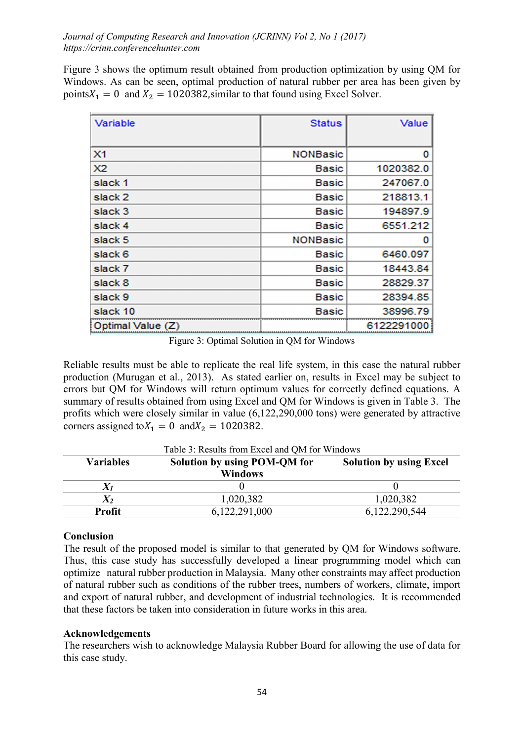Figure 3 shows the optimum result obtained from production optimization by using QM for Windows. As can be seen, optimal production of natural rubber per area has been given by points  $X_1 = 0$  and  $X_2 = 1020382$ , similar to that found using Excel Solver.

| Variable           | <b>Status</b>   | Value      |
|--------------------|-----------------|------------|
| X <sub>1</sub>     | <b>NONBasic</b> | 0          |
| X <sub>2</sub>     | <b>Basic</b>    | 1020382.0  |
| slack 1            | <b>Basic</b>    | 247067.0   |
| slack 2            | <b>Basic</b>    | 218813.1   |
| slack <sub>3</sub> | <b>Basic</b>    | 194897.9   |
| slack 4            | <b>Basic</b>    | 6551.212   |
| slack 5            | <b>NONBasic</b> | 0          |
| slack 6            | <b>Basic</b>    | 6460.097   |
| slack 7            | <b>Basic</b>    | 18443.84   |
| slack 8            | <b>Basic</b>    | 28829.37   |
| slack 9            | <b>Basic</b>    | 28394.85   |
| slack 10           | <b>Basic</b>    | 38996.79   |
| Optimal Value (Z)  |                 | 6122291000 |

Figure 3: Optimal Solution in QM for Windows

Reliable results must be able to replicate the real life system, in this case the natural rubber production (Murugan et al., 2013). As stated earlier on, results in Excel may be subject to errors but QM for Windows will return optimum values for correctly defined equations. A summary of results obtained from using Excel and QM for Windows is given in Table 3. The profits which were closely similar in value (6,122,290,000 tons) were generated by attractive corners assigned to  $X_1 = 0$  and  $X_2 = 1020382$ .

| <b>Variables</b> | <b>Solution by using POM-QM for</b><br><b>Windows</b> | <b>Solution by using Excel</b> |  |  |
|------------------|-------------------------------------------------------|--------------------------------|--|--|
|                  |                                                       |                                |  |  |
| $X_2$            | 1,020,382                                             | 1,020,382                      |  |  |
| <b>Profit</b>    | 6,122,291,000                                         | 6,122,290,544                  |  |  |

Table 3: Results from Excel and QM for Windows

#### Conclusion

The result of the proposed model is similar to that generated by QM for Windows software. Thus, this case study has successfully developed a linear programming model which can optimize natural rubber production in Malaysia. Many other constraints may affect production of natural rubber such as conditions of the rubber trees, numbers of workers, climate, import and export of natural rubber, and development of industrial technologies. It is recommended that these factors be taken into consideration in future works in this area.

#### Acknowledgements

The researchers wish to acknowledge Malaysia Rubber Board for allowing the use of data for this case study.